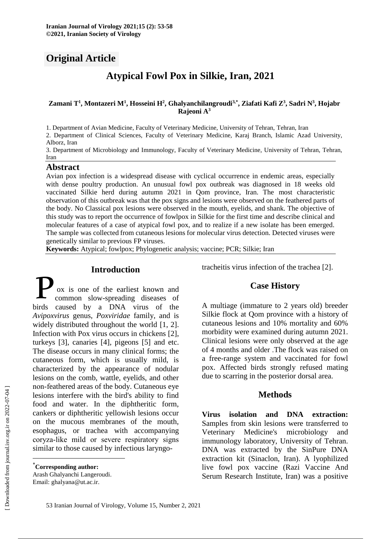# **Original Article**

# **Atypical Fowl Pox in Silkie, Iran, 2021**

#### **Zamani T<sup>1</sup> , Montazeri M<sup>1</sup> , Hosseini H<sup>2</sup> , Ghalyanchilangroudi3,\*, Ziafati Kafi Z<sup>3</sup> , Sadri N<sup>3</sup> , Hojabr Rajeoni A<sup>3</sup>**

1. Department of Avian Medicine, Faculty of Veterinary Medicine, University of Tehran, Tehran, Iran

2. Department of Clinical Sciences, Faculty of Veterinary Medicine, Karaj Branch, Islamic Azad University, Alborz, Iran

3. Department of Microbiology and Immunology, Faculty of Veterinary Medicine, University of Tehran, Tehran, Iran

#### **Abstract**

Avian pox infection is a widespread disease with cyclical occurrence in endemic areas, especially with dense poultry production. An unusual fowl pox outbreak was diagnosed in 18 weeks old vaccinated Silkie herd during autumn 2021 in Qom province, Iran. The most characteristic observation of this outbreak was that the pox signs and lesions were observed on the feathered parts of the body. No Classical pox lesions were observed in the mouth, eyelids, and shank. The objective of this study was to report the occurrence of fowlpox in Silkie for the first time and describe clinical and molecular features of a case of atypical fowl pox, and to realize if a new isolate has been emerged. The sample was collected from cutaneous lesions for molecular virus detection. Detected viruses were genetically similar to previous FP viruses.

**Keywords:** Atypical; fowlpox; Phylogenetic analysis; vaccine; PCR; Silkie; Iran

#### **Introduction\***

ox is one of the earliest known and common slow-spreading diseases of **birds** common slow-spreading diseases of birds caused by a DNA virus of the *Avipoxvirus* genus, *Poxviridae* family, and is widely distributed throughout the world [1, 2]. Infection with Pox virus occurs in chickens [2], turkeys [3], canaries [4], pigeons [5] and etc. The disease occurs in many clinical forms; the cutaneous form, which is usually mild, is characterized by the appearance of nodular lesions on the comb, wattle, eyelids, and other non‐feathered areas of the body. Cutaneous eye lesions interfere with the bird's ability to find food and water. In the diphtheritic form, cankers or diphtheritic yellowish lesions occur on the mucous membranes of the mouth, esophagus, or trachea with accompanying coryza‐like mild or severe respiratory signs similar to those caused by infectious laryngo-

Arash Ghalyanchi Langeroudi. Email: ghalyana@ut.ac.ir.

tracheitis virus infection of the trachea [2].

# **Case History**

A multiage (immature to 2 years old) breeder Silkie flock at Qom province with a history of cutaneous lesions and 10% mortality and 60% morbidity were examined during autumn 2021. Clinical lesions were only observed at the age of 4 months and older .The flock was raised on a free-range system and vaccinated for fowl pox. Affected birds strongly refused mating due to scarring in the posterior dorsal area.

# **Methods**

**Virus isolation and DNA extraction:** Samples from skin lesions were transferred to Veterinary Medicine's microbiology and immunology laboratory, University of Tehran. DNA was extracted by the SinPure DNA extraction kit (Sinaclon, Iran). A lyophilized live fowl pox vaccine (Razi Vaccine And Serum Research Institute, Iran) was a positive

 $\overline{a}$ 

<sup>\*</sup>**Corresponding author:**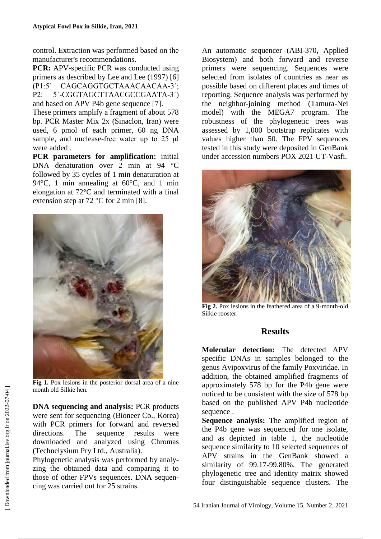control. Extraction was performed based on the manufacturer's recommendations.

**PCR:** APV-specific PCR was conducted using primers as described by Lee and Lee (1997) [6] (P1:5΄ CAGCAGGTGCTAAACAACAA-3΄; P2: 5΄-CGGTAGCTTAACGCCGAATA-3΄) and based on APV P4b gene sequence [7].

These primers amplify a fragment of about 578 bp. PCR Master Mix 2x (Sinaclon, Iran) were used, 6 pmol of each primer, 60 ng DNA sample, and nuclease-free water up to 25 μl were added .

**PCR parameters for amplification:** initial DNA denaturation over 2 min at 94 °C followed by 35 cycles of 1 min denaturation at 94°C, 1 min annealing at 60°C, and 1 min elongation at 72°C and terminated with a final extension step at 72 °C for 2 min [8].



**Fig 1.** Pox lesions in the posterior dorsal area of a nine month old Silkie hen.

**DNA sequencing and analysis:** PCR products were sent for sequencing (Bioneer Co., Korea) with PCR primers for forward and reversed directions. The sequence results were downloaded and analyzed using Chromas (Technelysium Pry Ltd., Australia).

Phylogenetic analysis was performed by analyzing the obtained data and comparing it to those of other FPVs sequences. DNA sequencing was carried out for 25 strains.

An automatic sequencer (ABI-370, Applied Biosystem) and both forward and reverse primers were sequencing. Sequences were selected from isolates of countries as near as possible based on different places and times of reporting. Sequence analysis was performed by the neighbor-joining method (Tamura-Nei model) with the MEGA7 program. The robustness of the phylogenetic trees was assessed by 1,000 bootstrap replicates with values higher than 50. The FPV sequences tested in this study were deposited in GenBank under accession numbers POX 2021 UT-Vasfi.



**Fig 2.** Pox lesions in the feathered area of a 9-month-old Silkie rooster.

## **Results**

**Molecular detection:** The detected APV specific DNAs in samples belonged to the genus Avipoxvirus of the family Poxviridae. In addition, the obtained amplified fragments of approximately 578 bp for the P4b gene were noticed to be consistent with the size of 578 bp based on the published APV P4b nucleotide sequence .

**Sequence analysis:** The amplified region of the P4b gene was sequenced for one isolate, and as depicted in table 1, the nucleotide sequence similarity to 10 selected sequences of APV strains in the GenBank showed a similarity of 99.17-99.80%. The generated phylogenetic tree and identity matrix showed four distinguishable sequence clusters. The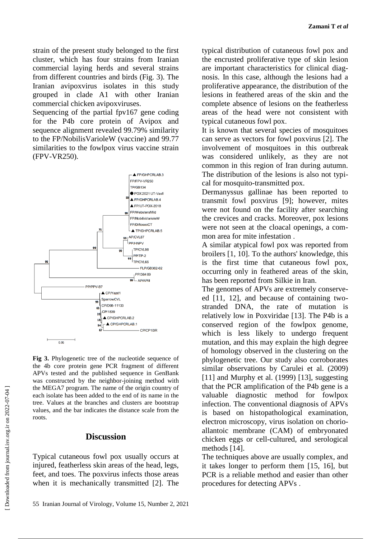strain of the present study belonged to the first cluster, which has four strains from Iranian commercial laying herds and several strains from different countries and birds (Fig. 3). The Iranian avipoxvirus isolates in this study grouped in clade A1 with other Iranian commercial chicken avipoxviruses.

Sequencing of the partial fpv167 gene coding for the P4b core protein of Avipox and sequence alignment revealed 99.79% similarity to the FP/NobilisVarioleW (vaccine) and 99.77 similarities to the fowlpox virus vaccine strain (FPV-VR250).



**Fig 3.** Phylogenetic tree of the nucleotide sequence of the 4b core protein gene PCR fragment of different APVs tested and the published sequence in GenBank was constructed by the neighbor-joining method with the MEGA7 program. The name of the origin country of each isolate has been added to the end of its name in the tree. Values at the branches and clusters are bootstrap values, and the bar indicates the distance scale from the roots.

#### **Discussion**

Typical cutaneous fowl pox usually occurs at injured, featherless skin areas of the head, legs, feet, and toes. The poxvirus infects those areas when it is mechanically transmitted [2]. The typical distribution of cutaneous fowl pox and the encrusted proliferative type of skin lesion are important characteristics for clinical diagnosis. In this case, although the lesions had a proliferative appearance, the distribution of the lesions in feathered areas of the skin and the complete absence of lesions on the featherless areas of the head were not consistent with typical cutaneous fowl pox.

It is known that several species of mosquitoes can serve as vectors for fowl poxvirus [2]. The involvement of mosquitoes in this outbreak was considered unlikely, as they are not common in this region of Iran during autumn. The distribution of the lesions is also not typical for mosquito-transmitted pox.

Dermanyssus gallinae has been reported to transmit fowl poxvirus [9]; however, mites were not found on the facility after searching the crevices and cracks. Moreover, pox lesions were not seen at the cloacal openings, a common area for mite infestation .

A similar atypical fowl pox was reported from broilers [1, 10]. To the authors' knowledge, this is the first time that cutaneous fowl pox, occurring only in feathered areas of the skin, has been reported from Silkie in Iran.

The genomes of APVs are extremely conserveed [11, 12], and because of containing twostranded DNA, the rate of mutation is relatively low in Poxviridae [13]. The P4b is a conserved region of the fowlpox genome, which is less likely to undergo frequent mutation, and this may explain the high degree of homology observed in the clustering on the phylogenetic tree. Our study also corroborates similar observations by Carulei et al. (2009) [11] and Murphy et al. (1999) [13], suggesting that the PCR amplification of the P4b gene is a valuable diagnostic method for fowlpox infection. The conventional diagnosis of APVs is based on histopathological examination, electron microscopy, virus isolation on chorioallantoic membrane (CAM) of embryonated chicken eggs or cell-cultured, and serological methods [14].

The techniques above are usually complex, and it takes longer to perform them [15, 16], but PCR is a reliable method and easier than other procedures for detecting APVs .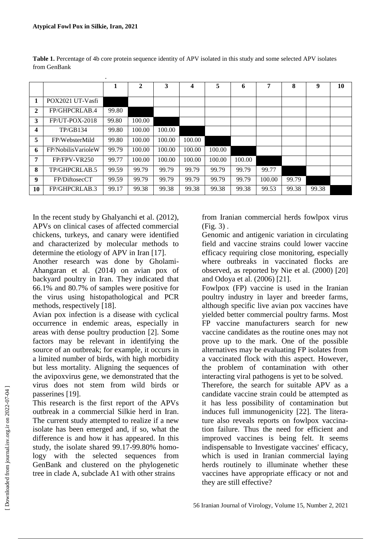.

|                |                    | 1     | $\mathbf{2}$ | 3      | $\overline{\mathbf{4}}$ | 5      | 6      | 7      | 8     | 9     | 10 |
|----------------|--------------------|-------|--------------|--------|-------------------------|--------|--------|--------|-------|-------|----|
|                |                    |       |              |        |                         |        |        |        |       |       |    |
| 1              | POX2021 UT-Vasfi   |       |              |        |                         |        |        |        |       |       |    |
| $\overline{2}$ | FP/GHPCRLAB.4      | 99.80 |              |        |                         |        |        |        |       |       |    |
| 3              | $FP/UT-POX-2018$   | 99.80 | 100.00       |        |                         |        |        |        |       |       |    |
| 4              | TP/GB134           | 99.80 | 100.00       | 100.00 |                         |        |        |        |       |       |    |
| 5              | FP/WebsterMild     | 99.80 | 100.00       | 100.00 | 100.00                  |        |        |        |       |       |    |
| -6             | FP/NobilisVarioleW | 99.79 | 100.00       | 100.00 | 100.00                  | 100.00 |        |        |       |       |    |
| $\overline{7}$ | FP/FPV-VR250       | 99.77 | 100.00       | 100.00 | 100.00                  | 100.00 | 100.00 |        |       |       |    |
| 8              | TP/GHPCRLAB.5      | 99.59 | 99.79        | 99.79  | 99.79                   | 99.79  | 99.79  | 99.77  |       |       |    |
| 9              | FP/DiftosecCT      | 99.59 | 99.79        | 99.79  | 99.79                   | 99.79  | 99.79  | 100.00 | 99.79 |       |    |
| 10             | FP/GHPCRLAB.3      | 99.17 | 99.38        | 99.38  | 99.38                   | 99.38  | 99.38  | 99.53  | 99.38 | 99.38 |    |

**Table 1.** Percentage of 4b core protein sequence identity of APV isolated in this study and some selected APV isolates from GenBank

In the recent study by Ghalyanchi et al. (2012), APVs on clinical cases of affected commercial chickens, turkeys, and canary were identified and characterized by molecular methods to determine the etiology of APV in Iran [17].

Another research was done by Gholami-Ahangaran et al. (2014) on avian pox of backyard poultry in Iran. They indicated that 66.1% and 80.7% of samples were positive for the virus using histopathological and PCR methods, respectively [18].

Avian pox infection is a disease with cyclical occurrence in endemic areas, especially in areas with dense poultry production [2]. Some factors may be relevant in identifying the source of an outbreak; for example, it occurs in a limited number of birds, with high morbidity but less mortality. Aligning the sequences of the avipoxvirus gene, we demonstrated that the virus does not stem from wild birds or passerines [19].

This research is the first report of the APVs outbreak in a commercial Silkie herd in Iran. The current study attempted to realize if a new isolate has been emerged and, if so, what the difference is and how it has appeared. In this study, the isolate shared 99.17-99.80% homology with the selected sequences from GenBank and clustered on the phylogenetic tree in clade A, subclade A1 with other strains

from Iranian commercial herds fowlpox virus  $(Fi\varrho. 3)$ .

Genomic and antigenic variation in circulating field and vaccine strains could lower vaccine efficacy requiring close monitoring, especially where outbreaks in vaccinated flocks are observed, as reported by Nie et al. (2000) [20] and Odoya et al. (2006) [21].

Fowlpox (FP) vaccine is used in the Iranian poultry industry in layer and breeder farms, although specific live avian pox vaccines have yielded better commercial poultry farms. Most FP vaccine manufacturers search for new vaccine candidates as the routine ones may not prove up to the mark. One of the possible alternatives may be evaluating FP isolates from a vaccinated flock with this aspect. However, the problem of contamination with other interacting viral pathogens is yet to be solved.

Therefore, the search for suitable APV as a candidate vaccine strain could be attempted as it has less possibility of contamination but induces full immunogenicity [22]. The literature also reveals reports on fowlpox vaccination failure. Thus the need for efficient and improved vaccines is being felt. It seems indispensable to Investigate vaccines' efficacy, which is used in Iranian commercial laying herds routinely to illuminate whether these vaccines have appropriate efficacy or not and they are still effective?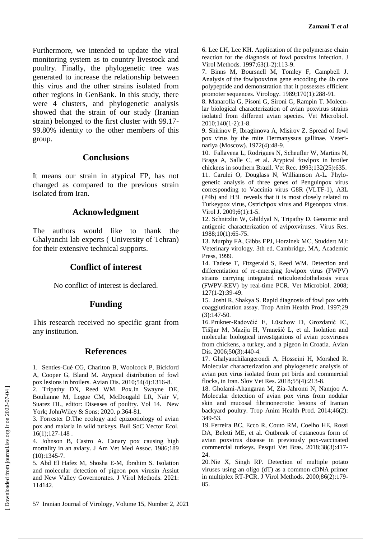Furthermore, we intended to update the viral monitoring system as to country livestock and poultry. Finally, the phylogenetic tree was generated to increase the relationship between this virus and the other strains isolated from other regions in GenBank. In this study, there were 4 clusters, and phylogenetic analysis showed that the strain of our study (Iranian strain) belonged to the first cluster with 99.17- 99.80% identity to the other members of this group.

## **Conclusions**

It means our strain in atypical FP, has not changed as compared to the previous strain isolated from Iran.

# **Acknowledgment**

The authors would like to thank the Ghalyanchi lab experts ( University of Tehran) for their extensive technical supports.

## **Conflict of interest**

No conflict of interest is declared.

## **Funding**

This research received no specific grant from any institution.

## **References**

1. Sentíes-Cué CG, Charlton B, Woolcock P, Bickford A, Cooper G, Bland M. Atypical distribution of fowl pox lesions in broilers. Avian Dis. 2010;54(4):1316-8.

2. Tripathy DN, Reed WM. Pox.In Swayne DE, Boulianne M, Logue CM, McDougald LR, Nair V, Suarez DL, editor: Diseases of poultry. Vol 14. New York; JohnWiley & Sons; 2020. p.364-81.

3. Forrester D.The ecology and epizootiology of avian pox and malarla in wild turkeys. Bull SoC Vector Ecol. 16(1);127-148 .

4. Johnson B, Castro A. Canary pox causing high mortality in an aviary. J Am Vet Med Assoc. 1986;189 (10):1345-7.

5. Abd El Hafez M, Shosha E-M, Ibrahim S. Isolation and molecular detection of pigeon pox virusin Assiut and New Valley Governorates. J Virol Methods. 2021: 114142.

6. Lee LH, Lee KH. Application of the polymerase chain reaction for the diagnosis of fowl poxvirus infection. J Virol Methods. 1997;63(1-2):113-9.

7. Binns M, Boursnell M, Tomley F, Campbell J. Analysis of the fowlpoxvirus gene encoding the 4b core polypeptide and demonstration that it possesses efficient promoter sequences. Virology. 1989;170(1):288-91.

8. Manarolla G, Pisoni G, Sironi G, Rampin T. Molecular biological characterization of avian poxvirus strains isolated from different avian species. Vet Microbiol. 2010;140(1-2):1-8.

9. Shirinov F, Ibragimova A, Misirov Z. Spread of fowl pox virus by the mite Dermanyssus gallinae. Veterinariya (Moscow). 1972(4):48-9.

10. Fallavena L, Rodrigues N, Scheufler W, Martins N, Braga A, Salle C, et al. Atypical fowlpox in broiler chickens in southern Brazil. Vet Rec. 1993;132(25):635. 11. Carulei O, Douglass N, Williamson A-L. Phylogenetic analysis of three genes of Penguinpox virus corresponding to Vaccinia virus G8R (VLTF-1), A3L (P4b) and H3L reveals that it is most closely related to Turkeypox virus, Ostrichpox virus and Pigeonpox virus.

Virol J. 2009;6(1):1-5. 12. Schnitzlin W, Ghildyal N, Tripathy D. Genomic and antigenic characterization of avipoxviruses. Virus Res. 1988;10(1):65-75.

13. Murphy FA, Gibbs EPJ, Horzinek MC, Studdert MJ: Veterinary virology. 3th ed. Cambridge, MA, Academic Press, 1999.

14. Tadese T, Fitzgerald S, Reed WM. Detection and differentiation of re-emerging fowlpox virus (FWPV) strains carrying integrated reticuloendotheliosis virus (FWPV-REV) by real-time PCR. Vet Microbiol. 2008; 127(1-2):39-49.

15. Joshi R, Shakya S. Rapid diagnosis of fowl pox with coagglutination assay. Trop Anim Health Prod. 1997;29 (3):147-50.

16. Prukner-Radovčić E, Lüschow D, Grozdanić IC, Tišljar M, Mazija H, Vranešić Ł, et al. Isolation and molecular biological investigations of avian poxviruses from chickens, a turkey, and a pigeon in Croatia. Avian Dis. 2006;50(3):440-4.

17. Ghalyanchilangeroudi A, Hosseini H, Morshed R. Molecular characterization and phylogenetic analysis of avian pox virus isolated from pet birds and commercial flocks, in Iran. Slov Vet Res. 2018;55(4):213-8.

18. Gholami-Ahangaran M, Zia-Jahromi N, Namjoo A. Molecular detection of avian pox virus from nodular skin and mucosal fibrinonecrotic lesions of Iranian backyard poultry. Trop Anim Health Prod. 2014;46(2): 349-53.

19. Ferreira BC, Ecco R, Couto RM, Coelho HE, Rossi DA, Beletti ME, et al. Outbreak of cutaneous form of avian poxvirus disease in previously pox-vaccinated commercial turkeys. Pesqui Vet Bras. 2018;38(3):417- 24.

20. Nie X, Singh RP. Detection of multiple potato viruses using an oligo (dT) as a common cDNA primer in multiplex RT-PCR. J Virol Methods. 2000;86(2):179- 85.